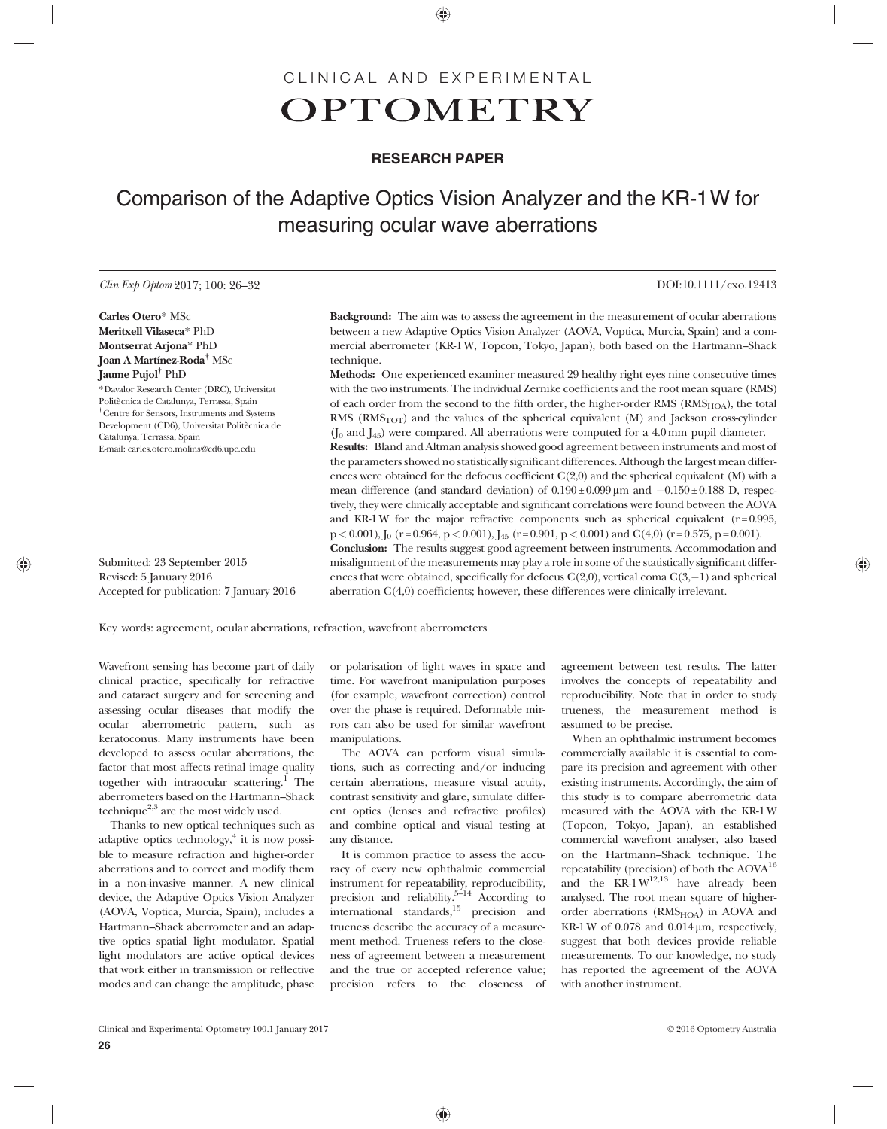# CLINICAL AND EXPERIMENTAL OPTOMETRY

## RESEARCH PAPER

# Comparison of the Adaptive Optics Vision Analyzer and the KR-1W for measuring ocular wave aberrations

#### Clin Exp Optom 2017; 100: 26–32 DOI:10.1111/cxo.12413

Carles Otero\* MSc Meritxell Vilaseca\* PhD Montserrat Arjona\* PhD Joan A Martínez-Roda† MSc Jaume Pujol† PhD \*Davalor Research Center (DRC), Universitat Politècnica de Catalunya, Terrassa, Spain

† Centre for Sensors, Instruments and Systems Development (CD6), Universitat Politècnica de Catalunya, Terrassa, Spain E-mail: carles.otero.molins@cd6.upc.edu

Submitted: 23 September 2015 Revised: 5 January 2016 Accepted for publication: 7 January 2016 Background: The aim was to assess the agreement in the measurement of ocular aberrations between a new Adaptive Optics Vision Analyzer (AOVA, Voptica, Murcia, Spain) and a commercial aberrometer (KR-1 W, Topcon, Tokyo, Japan), both based on the Hartmann–Shack technique.

Methods: One experienced examiner measured 29 healthy right eyes nine consecutive times with the two instruments. The individual Zernike coefficients and the root mean square (RMS) of each order from the second to the fifth order, the higher-order RMS  $(RMS<sub>HO</sub>)$ , the total RMS  $(RMS<sub>TOT</sub>)$  and the values of the spherical equivalent  $(M)$  and Jackson cross-cylinder  $(I_0$  and  $I_{45}$ ) were compared. All aberrations were computed for a 4.0 mm pupil diameter. Results: Bland and Altman analysis showed good agreement between instruments and most of the parameters showed no statistically significant differences. Although the largest mean differences were obtained for the defocus coefficient  $C(2,0)$  and the spherical equivalent (M) with a mean difference (and standard deviation) of  $0.190 \pm 0.099 \,\mu m$  and  $-0.150 \pm 0.188$  D, respectively, they were clinically acceptable and significant correlations were found between the AOVA and KR-1 W for the major refractive components such as spherical equivalent ( $r = 0.995$ ,  $p < 0.001$ ),  $I_0$  (r = 0.964,  $p < 0.001$ ),  $I_{45}$  (r = 0.901,  $p < 0.001$ ) and C(4,0) (r = 0.575, p = 0.001). Conclusion: The results suggest good agreement between instruments. Accommodation and misalignment of the measurements may play a role in some of the statistically significant differences that were obtained, specifically for defocus C(2,0), vertical coma C(3,-1) and spherical

aberration C(4,0) coefficients; however, these differences were clinically irrelevant.

Key words: agreement, ocular aberrations, refraction, wavefront aberrometers

Wavefront sensing has become part of daily clinical practice, specifically for refractive and cataract surgery and for screening and assessing ocular diseases that modify the ocular aberrometric pattern, such as keratoconus. Many instruments have been developed to assess ocular aberrations, the factor that most affects retinal image quality together with intraocular scattering.<sup>1</sup> The aberrometers based on the Hartmann–Shack technique<sup>2,3</sup> are the most widely used.

Thanks to new optical techniques such as adaptive optics technology, $4$  it is now possible to measure refraction and higher-order aberrations and to correct and modify them in a non-invasive manner. A new clinical device, the Adaptive Optics Vision Analyzer (AOVA, Voptica, Murcia, Spain), includes a Hartmann–Shack aberrometer and an adaptive optics spatial light modulator. Spatial light modulators are active optical devices that work either in transmission or reflective modes and can change the amplitude, phase or polarisation of light waves in space and time. For wavefront manipulation purposes (for example, wavefront correction) control over the phase is required. Deformable mirrors can also be used for similar wavefront manipulations.

The AOVA can perform visual simulations, such as correcting and/or inducing certain aberrations, measure visual acuity, contrast sensitivity and glare, simulate different optics (lenses and refractive profiles) and combine optical and visual testing at any distance.

It is common practice to assess the accuracy of every new ophthalmic commercial instrument for repeatability, reproducibility, precision and reliability.<sup>5–14</sup> According to international standards,  $15$  precision and trueness describe the accuracy of a measurement method. Trueness refers to the closeness of agreement between a measurement and the true or accepted reference value; precision refers to the closeness of agreement between test results. The latter involves the concepts of repeatability and reproducibility. Note that in order to study trueness, the measurement method is assumed to be precise.

When an ophthalmic instrument becomes commercially available it is essential to compare its precision and agreement with other existing instruments. Accordingly, the aim of this study is to compare aberrometric data measured with the AOVA with the KR-1 W (Topcon, Tokyo, Japan), an established commercial wavefront analyser, also based on the Hartmann–Shack technique. The repeatability (precision) of both the  $A\text{OVA}^{16}$ and the  $KR-1 W^{12,13}$  have already been analysed. The root mean square of higherorder aberrations ( $RMS<sub>HOA</sub>$ ) in AOVA and KR-1 W of 0.078 and 0.014 μm, respectively, suggest that both devices provide reliable measurements. To our knowledge, no study has reported the agreement of the AOVA with another instrument.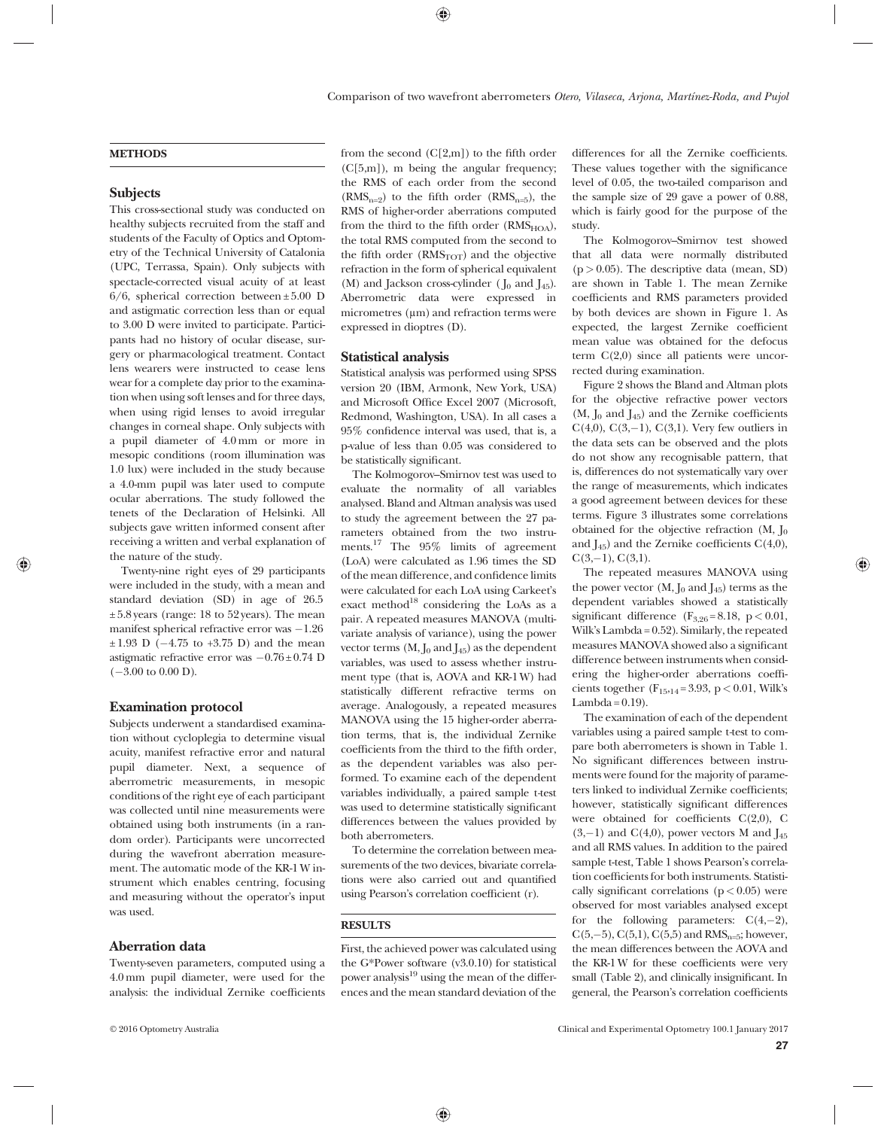### **METHODS**

#### **Subjects**

This cross-sectional study was conducted on healthy subjects recruited from the staff and students of the Faculty of Optics and Optometry of the Technical University of Catalonia (UPC, Terrassa, Spain). Only subjects with spectacle-corrected visual acuity of at least  $6/6$ , spherical correction between  $\pm 5.00$  D and astigmatic correction less than or equal to 3.00 D were invited to participate. Participants had no history of ocular disease, surgery or pharmacological treatment. Contact lens wearers were instructed to cease lens wear for a complete day prior to the examination when using soft lenses and for three days, when using rigid lenses to avoid irregular changes in corneal shape. Only subjects with a pupil diameter of 4.0 mm or more in mesopic conditions (room illumination was 1.0 lux) were included in the study because a 4.0-mm pupil was later used to compute ocular aberrations. The study followed the tenets of the Declaration of Helsinki. All subjects gave written informed consent after receiving a written and verbal explanation of the nature of the study.

Twenty-nine right eyes of 29 participants were included in the study, with a mean and standard deviation (SD) in age of 26.5  $\pm$  5.8 years (range: 18 to 52 years). The mean manifest spherical refractive error was  $-1.26$  $\pm 1.93$  D ( $-4.75$  to  $+3.75$  D) and the mean astigmatic refractive error was  $-0.76 \pm 0.74$  D  $(-3.00 \text{ to } 0.00 \text{ D}).$ 

#### Examination protocol

Subjects underwent a standardised examination without cycloplegia to determine visual acuity, manifest refractive error and natural pupil diameter. Next, a sequence of aberrometric measurements, in mesopic conditions of the right eye of each participant was collected until nine measurements were obtained using both instruments (in a random order). Participants were uncorrected during the wavefront aberration measurement. The automatic mode of the KR-1 W instrument which enables centring, focusing and measuring without the operator's input was used.

### Aberration data

Twenty-seven parameters, computed using a 4.0 mm pupil diameter, were used for the analysis: the individual Zernike coefficients

from the second  $(C[2,m])$  to the fifth order (C[5,m]), m being the angular frequency; the RMS of each order from the second  $(RMS_{n=2})$  to the fifth order  $(RMS_{n=5})$ , the RMS of higher-order aberrations computed from the third to the fifth order  $(RMS<sub>HOA</sub>)$ , the total RMS computed from the second to the fifth order  $(RMS<sub>TOT</sub>)$  and the objective refraction in the form of spherical equivalent (M) and Jackson cross-cylinder ( $J_0$  and  $J_{45}$ ). Aberrometric data were expressed in micrometres (μm) and refraction terms were expressed in dioptres (D).

#### Statistical analysis

Statistical analysis was performed using SPSS version 20 (IBM, Armonk, New York, USA) and Microsoft Office Excel 2007 (Microsoft, Redmond, Washington, USA). In all cases a 95% confidence interval was used, that is, a p-value of less than 0.05 was considered to be statistically significant.

The Kolmogorov–Smirnov test was used to evaluate the normality of all variables analysed. Bland and Altman analysis was used to study the agreement between the 27 parameters obtained from the two instruments.17 The 95% limits of agreement (LoA) were calculated as 1.96 times the SD of the mean difference, and confidence limits were calculated for each LoA using Carkeet's exact method<sup>18</sup> considering the LoAs as a pair. A repeated measures MANOVA (multivariate analysis of variance), using the power vector terms  $(M, J_0 \text{ and } J_{45})$  as the dependent variables, was used to assess whether instrument type (that is, AOVA and KR-1 W) had statistically different refractive terms on average. Analogously, a repeated measures MANOVA using the 15 higher-order aberration terms, that is, the individual Zernike coefficients from the third to the fifth order, as the dependent variables was also performed. To examine each of the dependent variables individually, a paired sample t-test was used to determine statistically significant differences between the values provided by both aberrometers.

To determine the correlation between measurements of the two devices, bivariate correlations were also carried out and quantified using Pearson's correlation coefficient (r).

#### **RESULTS**

First, the achieved power was calculated using the G\*Power software (v3.0.10) for statistical power analysis $19$  using the mean of the differences and the mean standard deviation of the differences for all the Zernike coefficients. These values together with the significance level of 0.05, the two-tailed comparison and the sample size of 29 gave a power of 0.88, which is fairly good for the purpose of the study.

The Kolmogorov–Smirnov test showed that all data were normally distributed  $(p > 0.05)$ . The descriptive data (mean, SD) are shown in Table 1. The mean Zernike coefficients and RMS parameters provided by both devices are shown in Figure 1. As expected, the largest Zernike coefficient mean value was obtained for the defocus term C(2,0) since all patients were uncorrected during examination.

Figure 2 shows the Bland and Altman plots for the objective refractive power vectors  $(M, J<sub>0</sub> and J<sub>45</sub>)$  and the Zernike coefficients  $C(4,0), C(3,-1), C(3,1)$ . Very few outliers in the data sets can be observed and the plots do not show any recognisable pattern, that is, differences do not systematically vary over the range of measurements, which indicates a good agreement between devices for these terms. Figure 3 illustrates some correlations obtained for the objective refraction  $(M, J_0)$ and  $I_{45}$ ) and the Zernike coefficients  $C(4,0)$ ,  $C(3,-1), C(3,1).$ 

The repeated measures MANOVA using the power vector  $(M, J_0 \text{ and } J_{45})$  terms as the dependent variables showed a statistically significant difference  $(F_{3,26} = 8.18, p < 0.01,$ Wilk's Lambda = 0.52). Similarly, the repeated measures MANOVA showed also a significant difference between instruments when considering the higher-order aberrations coefficients together ( $F_{15,14} = 3.93$ , p < 0.01, Wilk's Lambda =  $0.19$ ).

The examination of each of the dependent variables using a paired sample t-test to compare both aberrometers is shown in Table 1. No significant differences between instruments were found for the majority of parameters linked to individual Zernike coefficients; however, statistically significant differences were obtained for coefficients C(2,0), C  $(3,-1)$  and  $C(4,0)$ , power vectors M and  $J_{45}$ and all RMS values. In addition to the paired sample t-test, Table 1 shows Pearson's correlation coefficients for both instruments. Statistically significant correlations  $(p < 0.05)$  were observed for most variables analysed except for the following parameters:  $C(4,-2)$ ,  $C(5,-5)$ ,  $C(5,1)$ ,  $C(5,5)$  and  $RMS_{n=5}$ ; however, the mean differences between the AOVA and the KR-1 W for these coefficients were very small (Table 2), and clinically insignificant. In general, the Pearson's correlation coefficients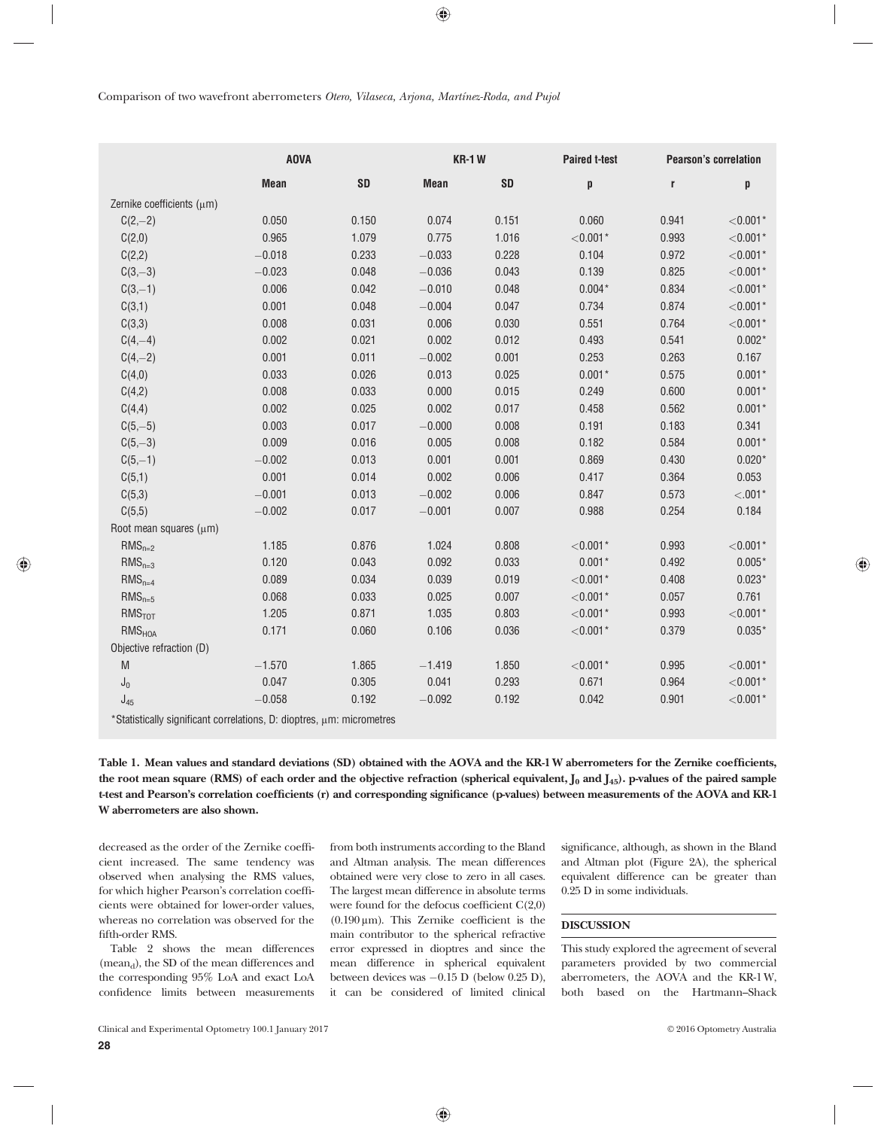|                                                                                       | <b>AOVA</b> |           | <b>KR-1W</b> |           | <b>Paired t-test</b> | <b>Pearson's correlation</b> |               |
|---------------------------------------------------------------------------------------|-------------|-----------|--------------|-----------|----------------------|------------------------------|---------------|
|                                                                                       | <b>Mean</b> | <b>SD</b> | <b>Mean</b>  | <b>SD</b> | p                    | r                            | p             |
| Zernike coefficients (µm)                                                             |             |           |              |           |                      |                              |               |
| $C(2,-2)$                                                                             | 0.050       | 0.150     | 0.074        | 0.151     | 0.060                | 0.941                        | $<$ 0.001 $*$ |
| C(2,0)                                                                                | 0.965       | 1.079     | 0.775        | 1.016     | $<$ 0.001 $*$        | 0.993                        | $<$ 0.001 $*$ |
| C(2,2)                                                                                | $-0.018$    | 0.233     | $-0.033$     | 0.228     | 0.104                | 0.972                        | $<$ 0.001 $*$ |
| $C(3,-3)$                                                                             | $-0.023$    | 0.048     | $-0.036$     | 0.043     | 0.139                | 0.825                        | $<$ 0.001 $*$ |
| $C(3,-1)$                                                                             | 0.006       | 0.042     | $-0.010$     | 0.048     | $0.004*$             | 0.834                        | $<$ 0.001 $*$ |
| C(3,1)                                                                                | 0.001       | 0.048     | $-0.004$     | 0.047     | 0.734                | 0.874                        | $<$ 0.001 $*$ |
| C(3,3)                                                                                | 0.008       | 0.031     | 0.006        | 0.030     | 0.551                | 0.764                        | $<$ 0.001 $*$ |
| $C(4,-4)$                                                                             | 0.002       | 0.021     | 0.002        | 0.012     | 0.493                | 0.541                        | $0.002*$      |
| $C(4,-2)$                                                                             | 0.001       | 0.011     | $-0.002$     | 0.001     | 0.253                | 0.263                        | 0.167         |
| C(4,0)                                                                                | 0.033       | 0.026     | 0.013        | 0.025     | $0.001*$             | 0.575                        | $0.001*$      |
| C(4,2)                                                                                | 0.008       | 0.033     | 0.000        | 0.015     | 0.249                | 0.600                        | $0.001*$      |
| C(4, 4)                                                                               | 0.002       | 0.025     | 0.002        | 0.017     | 0.458                | 0.562                        | $0.001*$      |
| $C(5,-5)$                                                                             | 0.003       | 0.017     | $-0.000$     | 0.008     | 0.191                | 0.183                        | 0.341         |
| $C(5,-3)$                                                                             | 0.009       | 0.016     | 0.005        | 0.008     | 0.182                | 0.584                        | $0.001*$      |
| $C(5,-1)$                                                                             | $-0.002$    | 0.013     | 0.001        | 0.001     | 0.869                | 0.430                        | $0.020*$      |
| C(5,1)                                                                                | 0.001       | 0.014     | 0.002        | 0.006     | 0.417                | 0.364                        | 0.053         |
| C(5,3)                                                                                | $-0.001$    | 0.013     | $-0.002$     | 0.006     | 0.847                | 0.573                        | $< 0.01*$     |
| C(5,5)                                                                                | $-0.002$    | 0.017     | $-0.001$     | 0.007     | 0.988                | 0.254                        | 0.184         |
| Root mean squares (µm)                                                                |             |           |              |           |                      |                              |               |
| $RMS_{n=2}$                                                                           | 1.185       | 0.876     | 1.024        | 0.808     | $<$ 0.001 $*$        | 0.993                        | $<$ 0.001 $*$ |
| $RMS_{n=3}$                                                                           | 0.120       | 0.043     | 0.092        | 0.033     | $0.001*$             | 0.492                        | $0.005*$      |
| $RMS_{n=4}$                                                                           | 0.089       | 0.034     | 0.039        | 0.019     | $<$ 0.001 $*$        | 0.408                        | $0.023*$      |
| $RMS_{n=5}$                                                                           | 0.068       | 0.033     | 0.025        | 0.007     | $<$ 0.001 $*$        | 0.057                        | 0.761         |
| RMS <sub>TOT</sub>                                                                    | 1.205       | 0.871     | 1.035        | 0.803     | $<$ 0.001 $*$        | 0.993                        | $<$ 0.001 $*$ |
| <b>RMS<sub>HOA</sub></b>                                                              | 0.171       | 0.060     | 0.106        | 0.036     | $<$ 0.001 $*$        | 0.379                        | $0.035*$      |
| Objective refraction (D)                                                              |             |           |              |           |                      |                              |               |
| $\mathsf{M}% _{T}=\mathsf{M}_{T}\!\left( a,b\right) ,\ \mathsf{M}_{T}=\mathsf{M}_{T}$ | $-1.570$    | 1.865     | $-1.419$     | 1.850     | $<$ 0.001 $*$        | 0.995                        | $<$ 0.001 $*$ |
| $\mathsf{J}_0$                                                                        | 0.047       | 0.305     | 0.041        | 0.293     | 0.671                | 0.964                        | $<$ 0.001 $*$ |
| $J_{45}$                                                                              | $-0.058$    | 0.192     | $-0.092$     | 0.192     | 0.042                | 0.901                        | $<$ 0.001 $*$ |

\*Statistically significant correlations, D: dioptres, μm: micrometres

Table 1. Mean values and standard deviations (SD) obtained with the AOVA and the KR-1 W aberrometers for the Zernike coefficients, the root mean square (RMS) of each order and the objective refraction (spherical equivalent,  $J_0$  and  $J_{45}$ ). p-values of the paired sample t-test and Pearson's correlation coefficients (r) and corresponding significance (p-values) between measurements of the AOVA and KR-1 W aberrometers are also shown.

decreased as the order of the Zernike coefficient increased. The same tendency was observed when analysing the RMS values, for which higher Pearson's correlation coefficients were obtained for lower-order values, whereas no correlation was observed for the fifth-order RMS.

Table 2 shows the mean differences  $(mean<sub>d</sub>)$ , the SD of the mean differences and the corresponding 95% LoA and exact LoA confidence limits between measurements

from both instruments according to the Bland and Altman analysis. The mean differences obtained were very close to zero in all cases. The largest mean difference in absolute terms were found for the defocus coefficient C(2,0)  $(0.190 \,\mu\text{m})$ . This Zernike coefficient is the main contributor to the spherical refractive error expressed in dioptres and since the mean difference in spherical equivalent between devices was  $-0.15$  D (below 0.25 D), it can be considered of limited clinical significance, although, as shown in the Bland and Altman plot (Figure 2A), the spherical equivalent difference can be greater than 0.25 D in some individuals.

#### DISCUSSION

This study explored the agreement of several parameters provided by two commercial aberrometers, the AOVA and the KR-1 W, both based on the Hartmann–Shack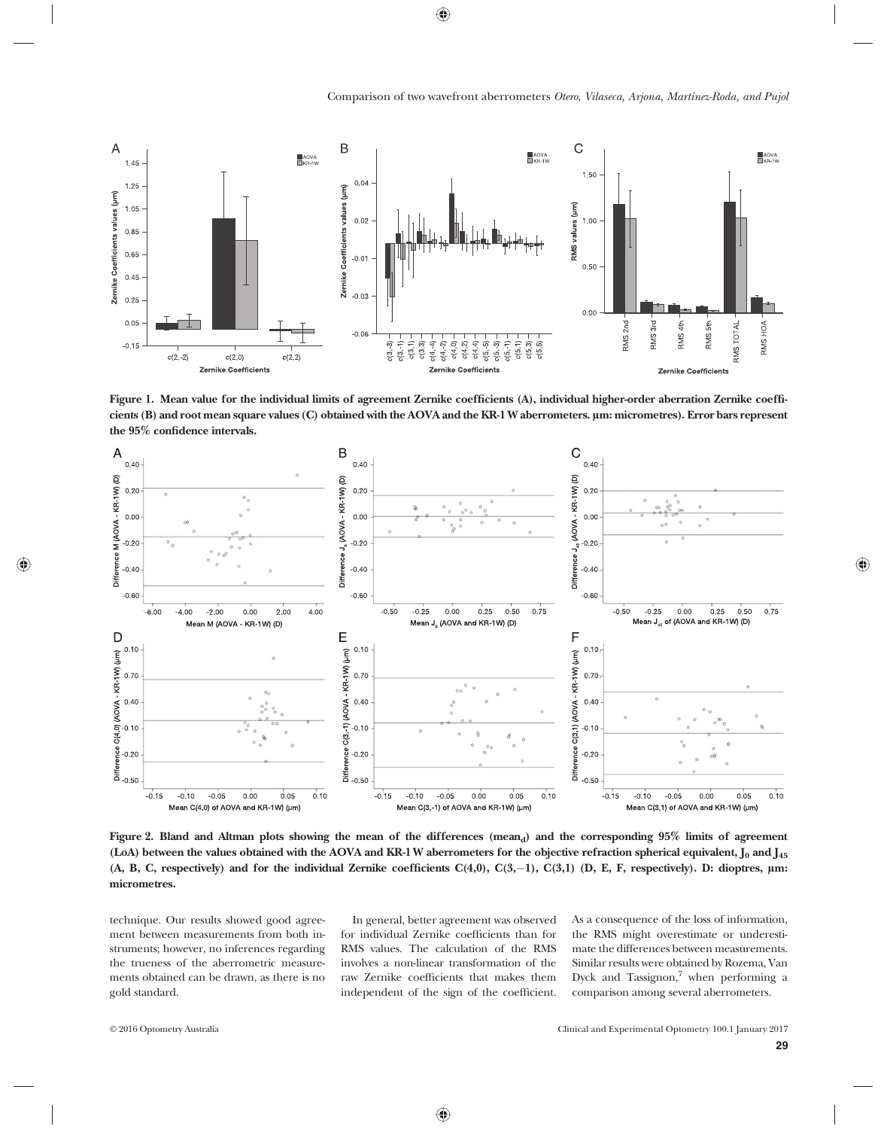

Figure 1. Mean value for the individual limits of agreement Zernike coefficients (A), individual higher-order aberration Zernike coefficients (B) and root mean square values (C) obtained with the AOVA and the KR-1 W aberrometers. µm: micrometres). Error bars represent the 95% confidence intervals.



Figure 2. Bland and Altman plots showing the mean of the differences  $(mean_d)$  and the corresponding  $95\%$  limits of agreement (LoA) between the values obtained with the AOVA and KR-1 W aberrometers for the objective refraction spherical equivalent,  $J_0$  and  $J_{45}$ (A, B, C, respectively) and for the individual Zernike coefficients C(4,0), C(3,-1), C(3,1) (D, E, F, respectively). D: dioptres, μm: micrometres.

technique. Our results showed good agreement between measurements from both instruments; however, no inferences regarding the trueness of the aberrometric measurements obtained can be drawn, as there is no gold standard.

In general, better agreement was observed for individual Zernike coefficients than for RMS values. The calculation of the RMS involves a non-linear transformation of the raw Zernike coefficients that makes them independent of the sign of the coefficient. As a consequence of the loss of information, the RMS might overestimate or underestimate the differences between measurements. Similar results were obtained by Rozema, Van Dyck and Tassignon, $\frac{7}{1}$  when performing a comparison among several aberrometers.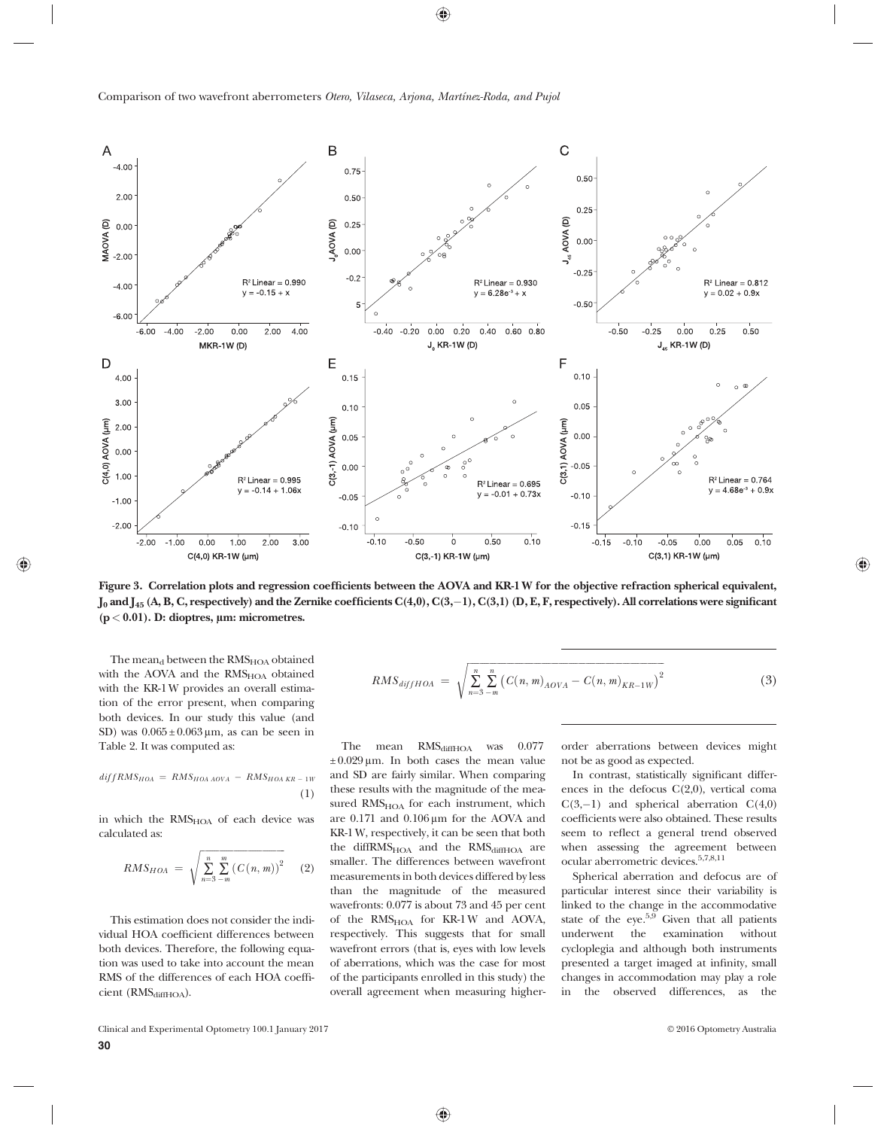

Figure 3. Correlation plots and regression coefficients between the AOVA and KR-1 W for the objective refraction spherical equivalent,  $J_0$  and  $J_{45}$  (A, B, C, respectively) and the Zernike coefficients C(4,0), C(3,–1), C(3,1) (D, E, F, respectively). All correlations were significant  $(p < 0.01)$ . D: dioptres,  $\mu$ m: micrometres.

The mean<sub>d</sub> between the  $RMS<sub>HOA</sub>$  obtained with the AOVA and the  $RMS<sub>HOA</sub>$  obtained with the KR-1 W provides an overall estimation of the error present, when comparing both devices. In our study this value (and SD) was  $0.065 \pm 0.063 \,\mu$ m, as can be seen in Table 2. It was computed as:

$$
diffRMS_{HOA} = RMS_{HOA\ AOVA} - RMS_{HOA\ KR-1W}
$$

$$
(1)
$$

in which the RMS<sub>HOA</sub> of each device was calculated as:

$$
RMS_{HOA} = \sqrt{\sum_{n=3}^{n} \sum_{-m}^{m} (C(n, m))^{2}}
$$
 (2)

This estimation does not consider the individual HOA coefficient differences between both devices. Therefore, the following equation was used to take into account the mean RMS of the differences of each HOA coefficient (RMS<sub>diffHOA</sub>).

$$
RMS_{diffHOA} = \sqrt{\sum_{n=3}^{n} \sum_{-m}^{n} (C(n, m)_{AOVA} - C(n, m)_{KR-1W})^{2}}
$$
(3)

The mean RMS<sub>diffHOA</sub> was 0.077  $\pm 0.029 \,\mu$ m. In both cases the mean value and SD are fairly similar. When comparing these results with the magnitude of the measured  $RMS<sub>HOA</sub>$  for each instrument, which are 0.171 and 0.106 μm for the AOVA and KR-1 W, respectively, it can be seen that both the diffRMS<sub>HOA</sub> and the RMS<sub>diffHOA</sub> are smaller. The differences between wavefront measurements in both devices differed by less than the magnitude of the measured wavefronts: 0.077 is about 73 and 45 per cent of the RMS<sub>HOA</sub> for KR-1W and AOVA, respectively. This suggests that for small wavefront errors (that is, eyes with low levels of aberrations, which was the case for most of the participants enrolled in this study) the overall agreement when measuring higherorder aberrations between devices might not be as good as expected.

In contrast, statistically significant differences in the defocus C(2,0), vertical coma  $C(3,-1)$  and spherical aberration  $C(4,0)$ coefficients were also obtained. These results seem to reflect a general trend observed when assessing the agreement between ocular aberrometric devices.5,7,8,11

Spherical aberration and defocus are of particular interest since their variability is linked to the change in the accommodative state of the eye. $5.9$  Given that all patients underwent the examination without underwent the examination without cycloplegia and although both instruments presented a target imaged at infinity, small changes in accommodation may play a role in the observed differences, as the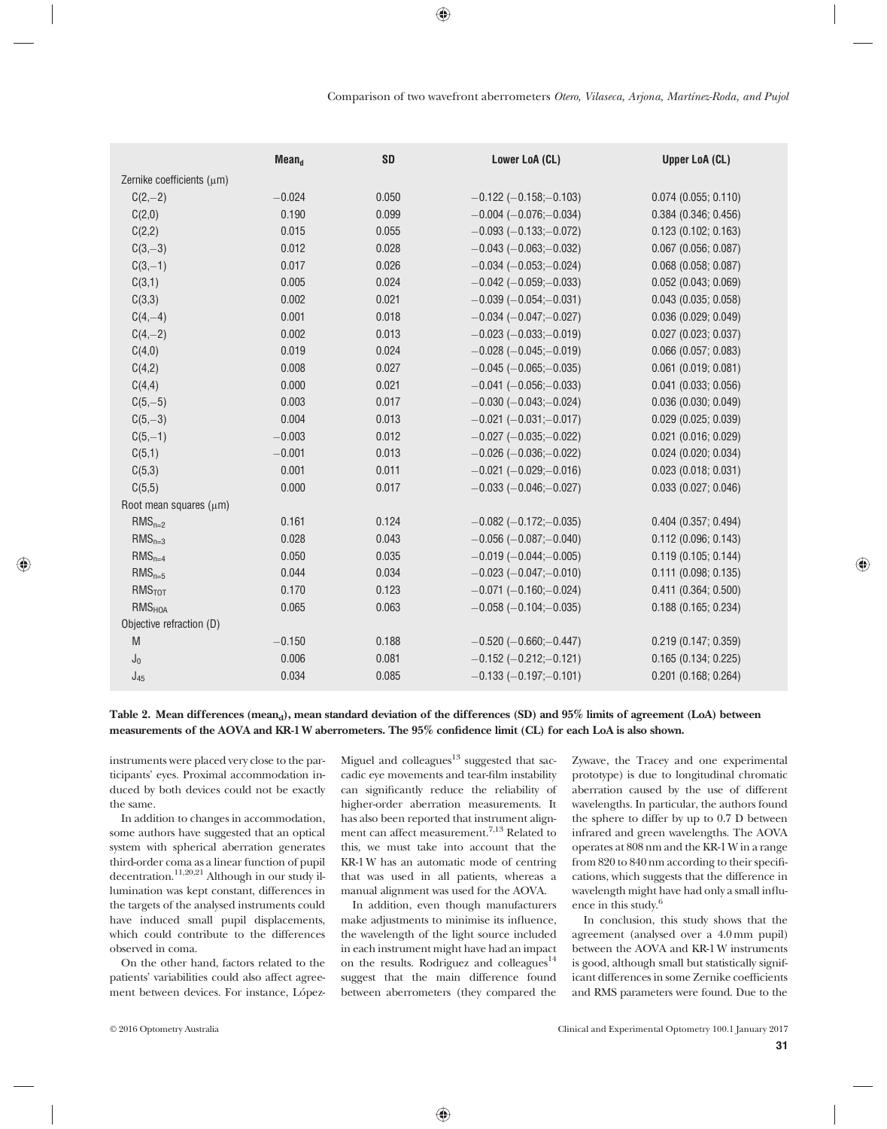|                             | Mean <sub>d</sub> | <b>SD</b> | Lower LoA (CL)                   | <b>Upper LoA (CL)</b>  |
|-----------------------------|-------------------|-----------|----------------------------------|------------------------|
| Zernike coefficients (µm)   |                   |           |                                  |                        |
| $C(2,-2)$                   | $-0.024$          | 0.050     | $-0.122$ ( $-0.158$ ; $-0.103$ ) | $0.074$ (0.055; 0.110) |
| C(2,0)                      | 0.190             | 0.099     | $-0.004 (-0.076,-0.034)$         | $0.384$ (0.346; 0.456) |
| C(2,2)                      | 0.015             | 0.055     | $-0.093$ ( $-0.133$ ; $-0.072$ ) | 0.123(0.102; 0.163)    |
| $C(3,-3)$                   | 0.012             | 0.028     | $-0.043$ ( $-0.063$ ; $-0.032$ ) | $0.067$ (0.056; 0.087) |
| $C(3,-1)$                   | 0.017             | 0.026     | $-0.034$ ( $-0.053$ ; $-0.024$ ) | $0.068$ (0.058; 0.087) |
| C(3,1)                      | 0.005             | 0.024     | $-0.042$ ( $-0.059$ ; $-0.033$ ) | $0.052$ (0.043; 0.069) |
| C(3,3)                      | 0.002             | 0.021     | $-0.039$ ( $-0.054$ ; $-0.031$ ) | $0.043$ (0.035; 0.058) |
| $C(4,-4)$                   | 0.001             | 0.018     | $-0.034$ ( $-0.047$ ; $-0.027$ ) | 0.036(0.029; 0.049)    |
| $C(4,-2)$                   | 0.002             | 0.013     | $-0.023$ ( $-0.033$ ; $-0.019$ ) | $0.027$ (0.023; 0.037) |
| C(4,0)                      | 0.019             | 0.024     | $-0.028$ ( $-0.045$ ; $-0.019$ ) | $0.066$ (0.057; 0.083) |
| C(4,2)                      | 0.008             | 0.027     | $-0.045$ ( $-0.065$ ; $-0.035$ ) | $0.061$ (0.019; 0.081) |
| C(4,4)                      | 0.000             | 0.021     | $-0.041$ ( $-0.056$ ; $-0.033$ ) | $0.041$ (0.033; 0.056) |
| $C(5,-5)$                   | 0.003             | 0.017     | $-0.030$ ( $-0.043$ ; $-0.024$ ) | 0.036(0.030; 0.049)    |
| $C(5,-3)$                   | 0.004             | 0.013     | $-0.021$ ( $-0.031$ ; $-0.017$ ) | $0.029$ (0.025; 0.039) |
| $C(5,-1)$                   | $-0.003$          | 0.012     | $-0.027$ ( $-0.035$ ; $-0.022$ ) | $0.021$ (0.016; 0.029) |
| C(5,1)                      | $-0.001$          | 0.013     | $-0.026$ ( $-0.036$ ; $-0.022$ ) | $0.024$ (0.020; 0.034) |
| C(5,3)                      | 0.001             | 0.011     | $-0.021$ ( $-0.029$ ; $-0.016$ ) | 0.023(0.018; 0.031)    |
| C(5,5)                      | 0.000             | 0.017     | $-0.033$ ( $-0.046$ ; $-0.027$ ) | 0.033(0.027; 0.046)    |
| Root mean squares $(\mu m)$ |                   |           |                                  |                        |
| $RMS_{n=2}$                 | 0.161             | 0.124     | $-0.082$ ( $-0.172$ ; $-0.035$ ) | $0.404$ (0.357; 0.494) |
| $RMS_{n=3}$                 | 0.028             | 0.043     | $-0.056$ ( $-0.087$ ; $-0.040$ ) | 0.112(0.096; 0.143)    |
| $RMS_{n=4}$                 | 0.050             | 0.035     | $-0.019$ ( $-0.044$ ; $-0.005$ ) | 0.119(0.105; 0.144)    |
| $RMS_{n=5}$                 | 0.044             | 0.034     | $-0.023$ ( $-0.047$ ; $-0.010$ ) | 0.111(0.098; 0.135)    |
| RMS <sub>TOT</sub>          | 0.170             | 0.123     | $-0.071$ ( $-0.160$ ; $-0.024$ ) | 0.411(0.364; 0.500)    |
| <b>RMS<sub>HOA</sub></b>    | 0.065             | 0.063     | $-0.058$ ( $-0.104$ ; $-0.035$ ) | 0.188(0.165; 0.234)    |
| Objective refraction (D)    |                   |           |                                  |                        |
| M                           | $-0.150$          | 0.188     | $-0.520$ ( $-0.660$ ; $-0.447$ ) | 0.219(0.147; 0.359)    |
| $J_0$                       | 0.006             | 0.081     | $-0.152$ ( $-0.212$ ; $-0.121$ ) | 0.165(0.134; 0.225)    |
| $J_{45}$                    | 0.034             | 0.085     | $-0.133$ ( $-0.197$ ; $-0.101$ ) | $0.201$ (0.168; 0.264) |

Table 2. Mean differences (mean<sub>d</sub>), mean standard deviation of the differences (SD) and 95% limits of agreement (LoA) between measurements of the AOVA and KR-1 W aberrometers. The 95% confidence limit (CL) for each LoA is also shown.

instruments were placed very close to the participants' eyes. Proximal accommodation induced by both devices could not be exactly the same.

In addition to changes in accommodation, some authors have suggested that an optical system with spherical aberration generates third-order coma as a linear function of pupil decentration.<sup>11,20,21</sup> Although in our study illumination was kept constant, differences in the targets of the analysed instruments could have induced small pupil displacements, which could contribute to the differences observed in coma.

On the other hand, factors related to the patients' variabilities could also affect agreement between devices. For instance, López-

Miguel and  $\text{colle}$ agues $^{13}$  suggested that saccadic eye movements and tear-film instability can significantly reduce the reliability of higher-order aberration measurements. It has also been reported that instrument alignment can affect measurement.7,13 Related to this, we must take into account that the KR-1 W has an automatic mode of centring that was used in all patients, whereas a manual alignment was used for the AOVA.

In addition, even though manufacturers make adjustments to minimise its influence, the wavelength of the light source included in each instrument might have had an impact on the results. Rodriguez and colleagues<sup>14</sup> suggest that the main difference found between aberrometers (they compared the Zywave, the Tracey and one experimental prototype) is due to longitudinal chromatic aberration caused by the use of different wavelengths. In particular, the authors found the sphere to differ by up to 0.7 D between infrared and green wavelengths. The AOVA operates at 808 nm and the KR-1 W in a range from 820 to 840 nm according to their specifications, which suggests that the difference in wavelength might have had only a small influence in this study.<sup>6</sup>

In conclusion, this study shows that the agreement (analysed over a 4.0 mm pupil) between the AOVA and KR-1 W instruments is good, although small but statistically significant differences in some Zernike coefficients and RMS parameters were found. Due to the